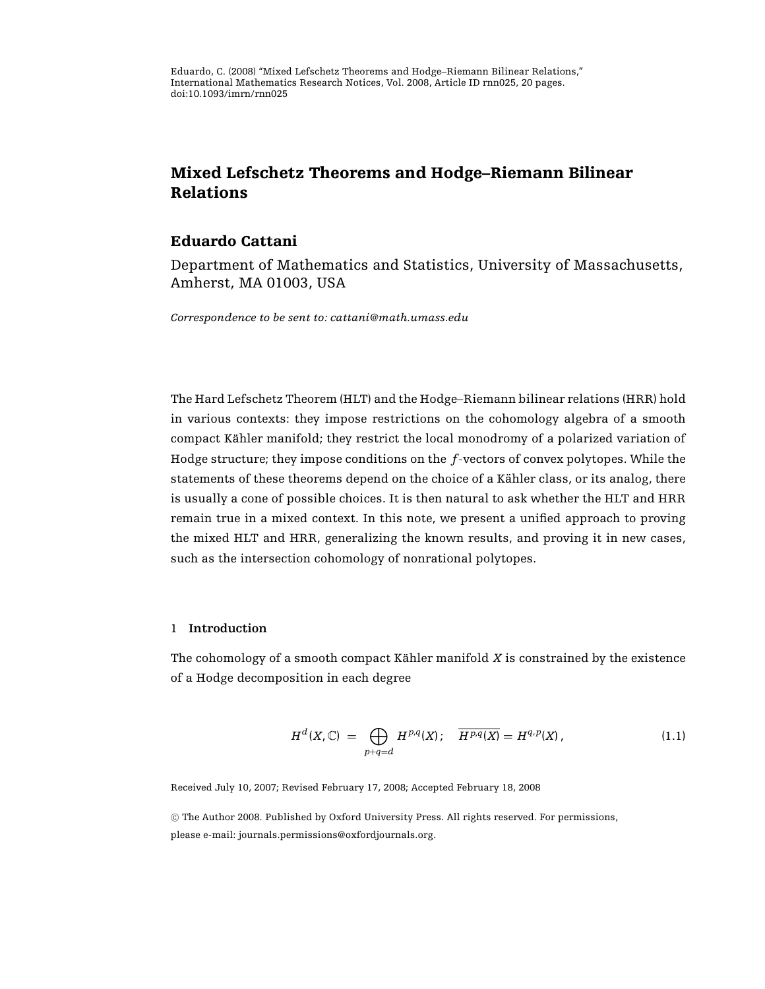Eduardo, C. (2008) "Mixed Lefschetz Theorems and Hodge–Riemann Bilinear Relations," International Mathematics Research Notices, Vol. 2008, Article ID rnn025, 20 pages. doi:10.1093/imrn/rnn025

# **Mixed Lefschetz Theorems and Hodge–Riemann Bilinear Relations**

## **Eduardo Cattani**

Department of Mathematics and Statistics, University of Massachusetts, Amherst, MA 01003, USA

*Correspondence to be sent to: cattani@math.umass.edu*

The Hard Lefschetz Theorem (HLT) and the Hodge–Riemann bilinear relations (HRR) hold in various contexts: they impose restrictions on the cohomology algebra of a smooth compact Kähler manifold; they restrict the local monodromy of a polarized variation of Hodge structure; they impose conditions on the *f*-vectors of convex polytopes. While the statements of these theorems depend on the choice of a Kähler class, or its analog, there is usually a cone of possible choices. It is then natural to ask whether the HLT and HRR remain true in a mixed context. In this note, we present a unified approach to proving the mixed HLT and HRR, generalizing the known results, and proving it in new cases, such as the intersection cohomology of nonrational polytopes.

## 1 **Introduction**

The cohomology of a smooth compact Kähler manifold  $X$  is constrained by the existence of a Hodge decomposition in each degree

$$
H^{d}(X,\mathbb{C}) = \bigoplus_{p+q=d} H^{p,q}(X); \quad \overline{H^{p,q}(X)} = H^{q,p}(X), \tag{1.1}
$$

<span id="page-0-0"></span>Received July 10, 2007; Revised February 17, 2008; Accepted February 18, 2008

<sup>C</sup> The Author 2008. Published by Oxford University Press. All rights reserved. For permissions, please e-mail: journals.permissions@oxfordjournals.org.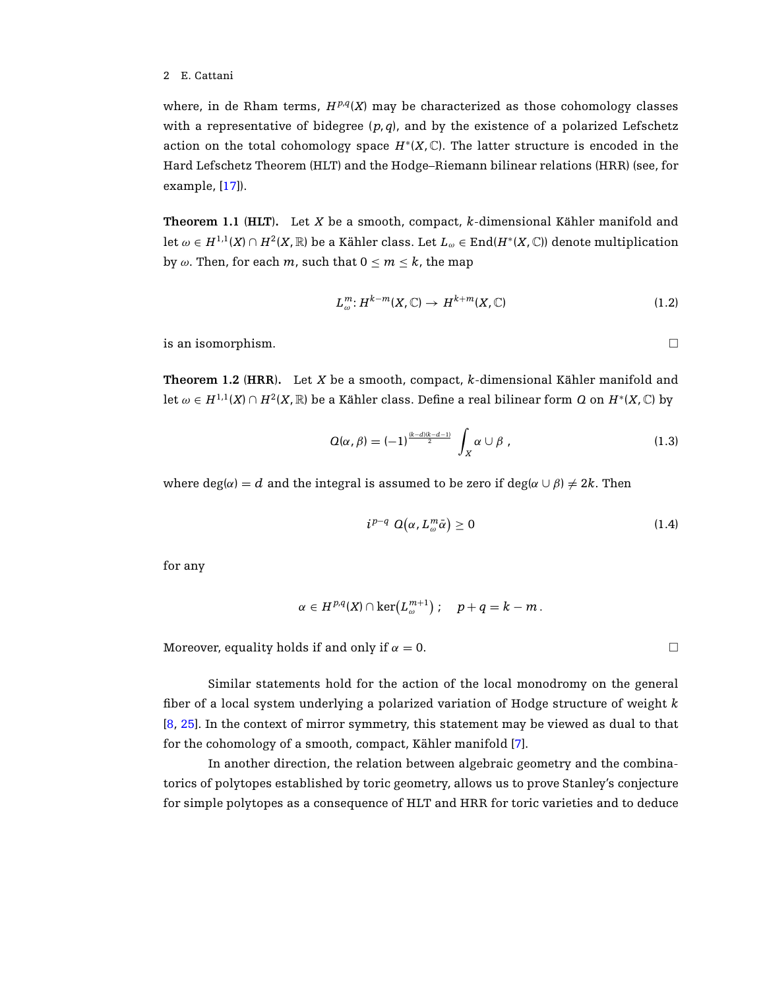where, in de Rham terms,  $H^{p,q}(X)$  may be characterized as those cohomology classes with a representative of bidegree  $(p, q)$ , and by the existence of a polarized Lefschetz action on the total cohomology space  $H^*(X,\mathbb{C})$ . The latter structure is encoded in the Hard Lefschetz Theorem (HLT) and the Hodge–Riemann bilinear relations (HRR) (see, for example, [\[17](#page-18-0)]).

<span id="page-1-3"></span>**Theorem 1.1** ( $HLT$ ). Let *X* be a smooth, compact, *k*-dimensional Kähler manifold and let  $\omega \in H^{1,1}(X) \cap H^2(X,\mathbb{R})$  be a Kähler class. Let  $L_\omega \in \text{End}(H^*(X,\mathbb{C}))$  denote multiplication by  $\omega$ . Then, for each  $m$ , such that  $0 \le m \le k$ , the map

<span id="page-1-0"></span>
$$
L_{\omega}^{m}: H^{k-m}(X,\mathbb{C}) \to H^{k+m}(X,\mathbb{C})
$$
\n(1.2)

<span id="page-1-4"></span>is an isomorphism.

**Theorem 1.2** (**HRR**)**.** Let *X* be a smooth, compact, *k*-dimensional Kahler manifold and ¨ let  $\omega \in H^{1,1}(X) \cap H^2(X,\mathbb{R})$  be a Kähler class. Define a real bilinear form Q on  $H^*(X,\mathbb{C})$  by

<span id="page-1-2"></span>
$$
Q(\alpha, \beta) = (-1)^{\frac{(k-d)(k-d-1)}{2}} \int_X \alpha \cup \beta , \qquad (1.3)
$$

where deg( $\alpha$ ) = *d* and the integral is assumed to be zero if deg( $\alpha \cup \beta$ )  $\neq 2k$ . Then

$$
i^{p-q} \ Q(\alpha, L_{\omega}^m \bar{\alpha}) \ge 0 \tag{1.4}
$$

for any

<span id="page-1-1"></span>
$$
\alpha \in H^{p,q}(X) \cap \ker(L^{m+1}_{\omega}): \quad p+q = k-m.
$$

Moreover, equality holds if and only if  $\alpha = 0$ .

Similar statements hold for the action of the local monodromy on the general fiber of a local system underlying a polarized variation of Hodge structure of weight *k* [\[8](#page-18-1), [25\]](#page-19-0). In the context of mirror symmetry, this statement may be viewed as dual to that for the cohomology of a smooth, compact, Kähler manifold [[7\]](#page-18-2).

In another direction, the relation between algebraic geometry and the combinatorics of polytopes established by toric geometry, allows us to prove Stanley's conjecture for simple polytopes as a consequence of HLT and HRR for toric varieties and to deduce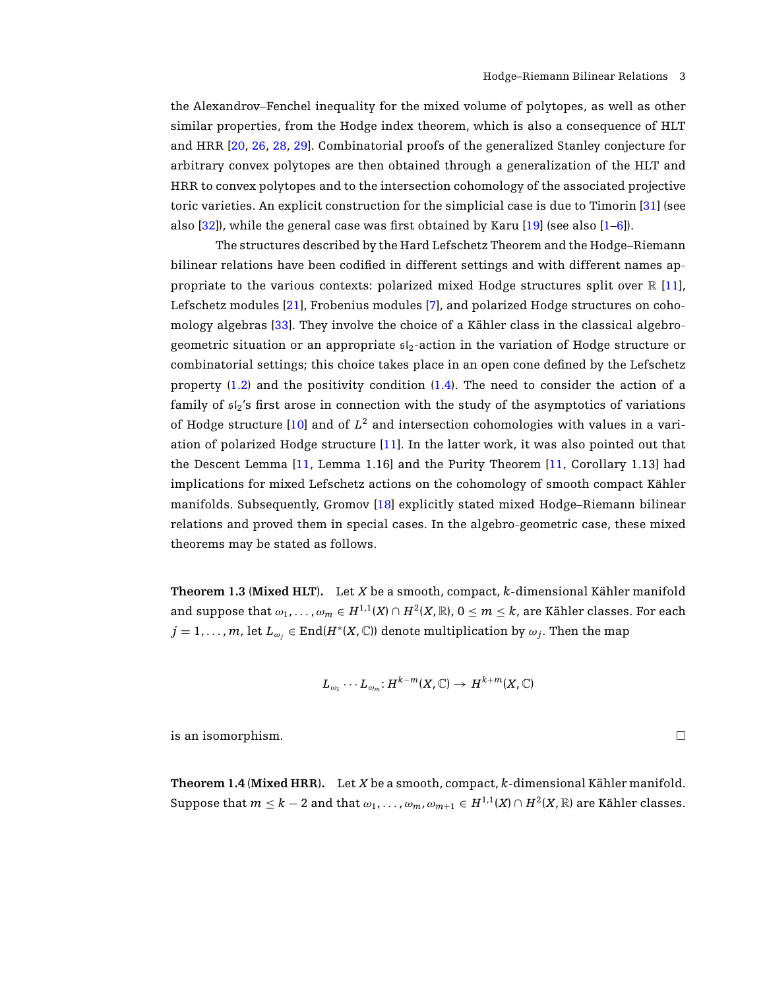the Alexandrov–Fenchel inequality for the mixed volume of polytopes, as well as other similar properties, from the Hodge index theorem, which is also a consequence of HLT and HRR [\[20](#page-18-3), [26,](#page-19-1) [28,](#page-19-2) [29](#page-19-3)]. Combinatorial proofs of the generalized Stanley conjecture for arbitrary convex polytopes are then obtained through a generalization of the HLT and HRR to convex polytopes and to the intersection cohomology of the associated projective toric varieties. An explicit construction for the simplicial case is due to Timorin [\[31\]](#page-19-4) (see also  $[32]$ , while the general case was first obtained by Karu  $[19]$  $[19]$  (see also  $[1-6]$  $[1-6]$ ).

The structures described by the Hard Lefschetz Theorem and the Hodge–Riemann bilinear relations have been codified in different settings and with different names appropriate to the various contexts: polarized mixed Hodge structures split over  $\mathbb{R}$  [\[11](#page-18-6)], Lefschetz modules [\[21](#page-18-7)], Frobenius modules [\[7](#page-18-2)], and polarized Hodge structures on coho-mology algebras [\[33](#page-19-6)]. They involve the choice of a Kähler class in the classical algebrogeometric situation or an appropriate  $s_{12}$ -action in the variation of Hodge structure or combinatorial settings; this choice takes place in an open cone defined by the Lefschetz property [\(1.2\)](#page-1-0) and the positivity condition [\(1.4\)](#page-1-1). The need to consider the action of a family of  $s1_2$ 's first arose in connection with the study of the asymptotics of variations of Hodge structure  $[10]$  $[10]$  and of  $L^2$  and intersection cohomologies with values in a variation of polarized Hodge structure [\[11](#page-18-6)]. In the latter work, it was also pointed out that the Descent Lemma [\[11](#page-18-6), Lemma 1.16] and the Purity Theorem [\[11,](#page-18-6) Corollary 1.13] had implications for mixed Lefschetz actions on the cohomology of smooth compact Kähler manifolds. Subsequently, Gromov [\[18](#page-18-9)] explicitly stated mixed Hodge–Riemann bilinear relations and proved them in special cases. In the algebro-geometric case, these mixed theorems may be stated as follows.

<span id="page-2-0"></span>**Theorem 1.3** (**Mixed HLT**)**.** Let *X* be a smooth, compact, *k*-dimensional Kahler manifold ¨ and suppose that  $\omega_1, \ldots, \omega_m \in H^{1,1}(X) \cap H^2(X,\mathbb{R})$ ,  $0 \leq m \leq k$ , are Kähler classes. For each  $j = 1, \ldots, m$ , let  $L_{\omega_j} \in \text{End}(H^*(X, \mathbb{C}))$  denote multiplication by  $\omega_j$ . Then the map

$$
L_{\omega_1}\cdots L_{\omega_m}:H^{k-m}(X,\mathbb{C})\to H^{k+m}(X,\mathbb{C})
$$

<span id="page-2-1"></span>is an isomorphism.

**Theorem 1.4** (**Mixed HRR**)**.** Let *X* be a smooth, compact, *k*-dimensional Kahler manifold. ¨ Suppose that  $m \leq k-2$  and that  $\omega_1, \ldots, \omega_m, \omega_{m+1} \in H^{1,1}(X) \cap H^2(X, \mathbb{R})$  are Kähler classes.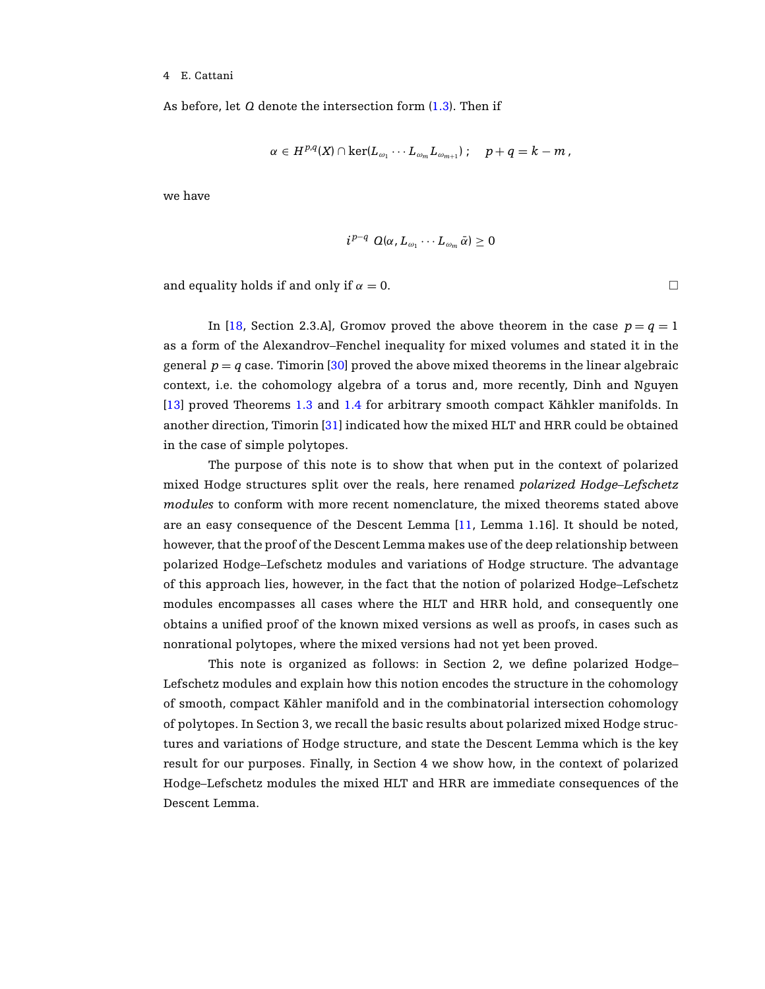As before, let *Q* denote the intersection form [\(1.3\)](#page-1-2). Then if

$$
\alpha \in H^{p,q}(X) \cap \ker (L_{\omega_1} \cdots L_{\omega_m} L_{\omega_{m+1}}) \ ; \quad \ p+q = k-m \ ,
$$

we have

$$
i^{p-q} Q(\alpha, L_{\omega_1} \cdots L_{\omega_m} \bar{\alpha}) \geq 0
$$

and equality holds if and only if  $\alpha = 0$ .

In [\[18](#page-18-9), Section 2.3.A], Gromov proved the above theorem in the case  $p = q = 1$ as a form of the Alexandrov–Fenchel inequality for mixed volumes and stated it in the general  $p = q$  case. Timorin [\[30\]](#page-19-7) proved the above mixed theorems in the linear algebraic context, i.e. the cohomology algebra of a torus and, more recently, Dinh and Nguyen [\[13\]](#page-18-10) proved Theorems [1.3](#page-2-0) and [1.4](#page-2-1) for arbitrary smooth compact Kähkler manifolds. In another direction, Timorin [\[31](#page-19-4)] indicated how the mixed HLT and HRR could be obtained in the case of simple polytopes.

The purpose of this note is to show that when put in the context of polarized mixed Hodge structures split over the reals, here renamed *polarized Hodge–Lefschetz modules* to conform with more recent nomenclature, the mixed theorems stated above are an easy consequence of the Descent Lemma [\[11](#page-18-6), Lemma 1.16]. It should be noted, however, that the proof of the Descent Lemma makes use of the deep relationship between polarized Hodge–Lefschetz modules and variations of Hodge structure. The advantage of this approach lies, however, in the fact that the notion of polarized Hodge–Lefschetz modules encompasses all cases where the HLT and HRR hold, and consequently one obtains a unified proof of the known mixed versions as well as proofs, in cases such as nonrational polytopes, where the mixed versions had not yet been proved.

This note is organized as follows: in Section 2, we define polarized Hodge– Lefschetz modules and explain how this notion encodes the structure in the cohomology of smooth, compact Kähler manifold and in the combinatorial intersection cohomology of polytopes. In Section 3, we recall the basic results about polarized mixed Hodge structures and variations of Hodge structure, and state the Descent Lemma which is the key result for our purposes. Finally, in Section 4 we show how, in the context of polarized Hodge–Lefschetz modules the mixed HLT and HRR are immediate consequences of the Descent Lemma.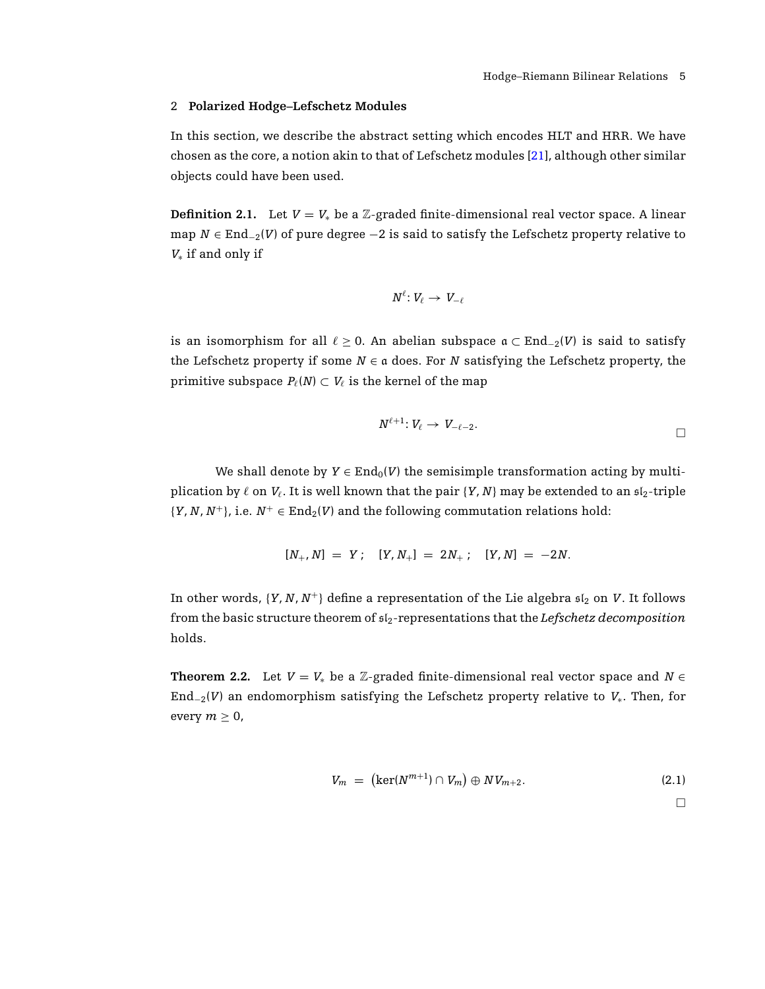## 2 **Polarized Hodge–Lefschetz Modules**

In this section, we describe the abstract setting which encodes HLT and HRR. We have chosen as the core, a notion akin to that of Lefschetz modules [\[21](#page-18-7)], although other similar objects could have been used.

**Definition 2.1.** Let  $V = V_*$  be a Z-graded finite-dimensional real vector space. A linear map  $N \in \text{End}_{2}(V)$  of pure degree  $-2$  is said to satisfy the Lefschetz property relative to *V*<sup>∗</sup> if and only if

$$
N^\ell\colon V_\ell\,\to\,V_{-\ell}
$$

is an isomorphism for all  $\ell \geq 0$ . An abelian subspace  $\mathfrak{a} \subset \text{End}_{-2}(V)$  is said to satisfy the Lefschetz property if some  $N \in \mathfrak{a}$  does. For *N* satisfying the Lefschetz property, the primitive subspace  $P_{\ell}(N) \subset V_{\ell}$  is the kernel of the map

$$
N^{\ell+1} \colon V_{\ell} \to V_{-\ell-2}.
$$

We shall denote by  $Y \in \text{End}_0(V)$  the semisimple transformation acting by multiplication by  $\ell$  on  $V_{\ell}$ . It is well known that the pair  $\{Y, N\}$  may be extended to an  $\mathfrak{sl}_2$ -triple  $\{Y, N, N^+\},$  i.e.  $N^+ \in \text{End}_2(V)$  and the following commutation relations hold:

$$
[N_+, N] = Y; \quad [Y, N_+] = 2N_+; \quad [Y, N] = -2N.
$$

<span id="page-4-1"></span>In other words,  $\{Y, N, N^+\}$  define a representation of the Lie algebra  $\mathfrak{sl}_2$  on *V*. It follows from the basic structure theorem of sl2-representations that the *Lefschetz decomposition* holds.

**Theorem 2.2.** Let  $V = V_*$  be a Z-graded finite-dimensional real vector space and  $N \in$ End−2(*V*) an endomorphism satisfying the Lefschetz property relative to *V*∗. Then, for every  $m \geq 0$ ,

<span id="page-4-0"></span>
$$
V_m = (\ker(N^{m+1}) \cap V_m) \oplus NV_{m+2}.
$$
\n(2.1)

 $\Box$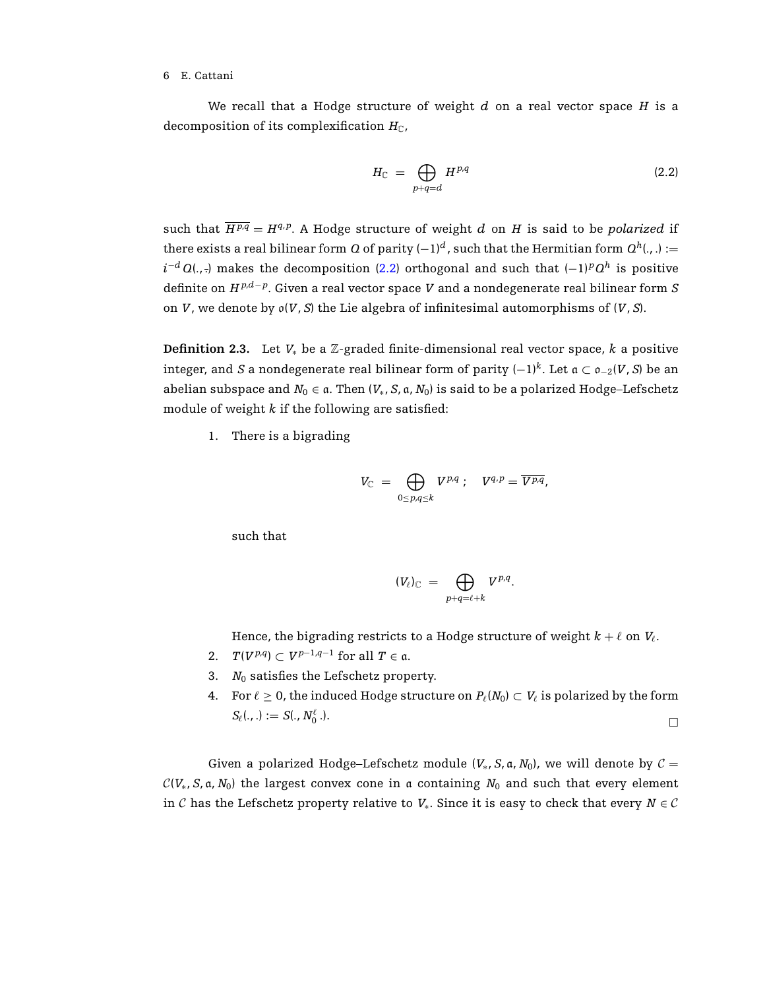We recall that a Hodge structure of weight *d* on a real vector space *H* is a decomposition of its complexification  $H_{\mathbb{C}}$ ,

<span id="page-5-0"></span>
$$
H_{\mathbb{C}} = \bigoplus_{p+q=d} H^{p,q} \tag{2.2}
$$

such that  $\overline{H^{p,q}} = H^{q,p}$ . A Hodge structure of weight *d* on *H* is said to be *polarized* if there exists a real bilinear form *Q* of parity  $(-1)^d$ , such that the Hermitian form  $Q^h(.,.) :=$  $i^{-d}$  *Q*(., .) makes the decomposition [\(2.2\)](#page-5-0) orthogonal and such that  $(-1)^pQ^h$  is positive definite on *H <sup>p</sup>*,*d*−*<sup>p</sup>*. Given a real vector space *V* and a nondegenerate real bilinear form *S* on *V*, we denote by o(*V*, *S*) the Lie algebra of infinitesimal automorphisms of (*V*, *S*).

<span id="page-5-1"></span>**Definition 2.3.** Let *V*<sup>∗</sup> be a Z-graded finite-dimensional real vector space, *k* a positive integer, and *S* a nondegenerate real bilinear form of parity  $(-1)^k$ . Let  $\mathfrak{a} \subset \mathfrak{o}_{-2}(V, S)$  be an abelian subspace and  $N_0 \in \mathfrak{a}$ . Then  $(V_*, S, \mathfrak{a}, N_0)$  is said to be a polarized Hodge–Lefschetz module of weight *k* if the following are satisfied:

1. There is a bigrading

$$
V_{\mathbb C} \;=\; \bigoplus_{0\leq p,q\leq k} V^{p,q} \;;\quad V^{q,p}=\overline{V^{p,q}} ,
$$

such that

$$
(V_{\ell})_{\mathbb{C}} = \bigoplus_{p+q=\ell+k} V^{p,q}.
$$

Hence, the bigrading restricts to a Hodge structure of weight  $k + \ell$  on  $V_{\ell}$ .

- 2.  $T(V^{p,q}) \subset V^{p-1,q-1}$  for all  $T \in \mathfrak{a}$ .
- 3.  $N_0$  satisfies the Lefschetz property.
- 4. For  $\ell > 0$ , the induced Hodge structure on  $P_{\ell}(N_0) \subset V_{\ell}$  is polarized by the form  $S_{\ell}$ (., .) := *S*(.,  $N_{0}^{\ell}$  .).  $\frac{\ell}{0}$ .).

Given a polarized Hodge–Lefschetz module  $(V_*, S, a, N_0)$ , we will denote by  $C =$  $\mathcal{C}(V_*, S, \mathfrak{a}, N_0)$  the largest convex cone in a containing  $N_0$  and such that every element in C has the Lefschetz property relative to  $V_*$ . Since it is easy to check that every  $N \in \mathcal{C}$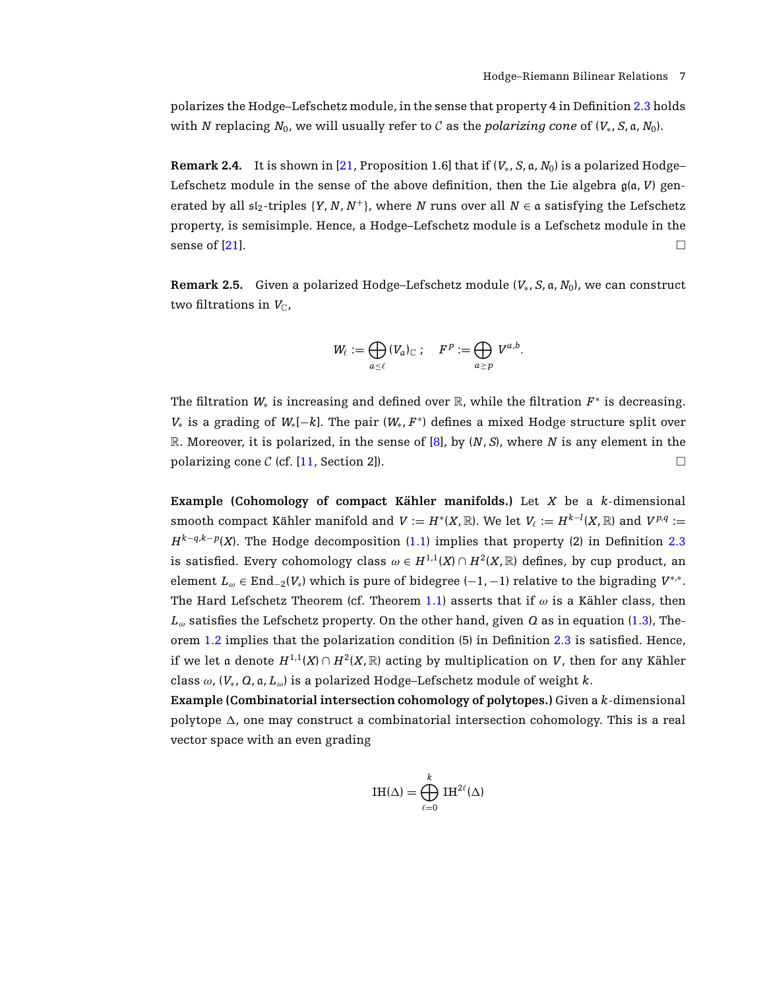polarizes the Hodge–Lefschetz module, in the sense that property 4 in Definition [2.3](#page-5-1) holds with *N* replacing  $N_0$ , we will usually refer to C as the *polarizing cone* of  $(V_*, S, a, N_0)$ .

**Remark 2.4.** It is shown in [\[21,](#page-18-7) Proposition 1.6] that if  $(V_*, S, a, N_0)$  is a polarized Hodge– Lefschetz module in the sense of the above definition, then the Lie algebra  $g(a, V)$  generated by all  $\mathfrak{sl}_2$ -triples  $\{Y, N, N^+\}$ , where *N* runs over all  $N \in \mathfrak{a}$  satisfying the Lefschetz property, is semisimple. Hence, a Hodge–Lefschetz module is a Lefschetz module in the sense of [\[21](#page-18-7)].

<span id="page-6-0"></span>**Remark 2.5.** Given a polarized Hodge–Lefschetz module (*V*∗, *S*, a, *N*0), we can construct two filtrations in  $V_{\mathbb{C}}$ ,

$$
W_{\ell} := \bigoplus_{a \leq \ell} (V_a)_{\mathbb{C}}; \quad F^p := \bigoplus_{a \geq p} V^{a,b}.
$$

The filtration  $W_*$  is increasing and defined over  $\mathbb{R}$ , while the filtration  $F^*$  is decreasing. *V*<sup>∗</sup> is a grading of *W*∗[−*k*]. The pair (*W*∗, *F* <sup>∗</sup>) defines a mixed Hodge structure split over R. Moreover, it is polarized, in the sense of [\[8](#page-18-1)], by (*N*, *S*), where *N* is any element in the polarizing cone C (cf. [\[11](#page-18-6), Section 2]).

**Example (Cohomology of compact Kähler manifolds.)** Let  $X$  be a  $k$ -dimensional smooth compact Kähler manifold and  $V\coloneqq H^*(X,\mathbb{R}).$  We let  $V_\ell\coloneqq H^{k-l}(X,\mathbb{R})$  and  $V^{p,q}\coloneqq$  $H^{k-q,k-p}(X)$ . The Hodge decomposition [\(1.1\)](#page-0-0) implies that property (2) in Definition [2.3](#page-5-1) is satisfied. Every cohomology class  $\omega \in H^{1,1}(X) \cap H^2(X,\mathbb{R})$  defines, by cup product, an element  $L_{\omega} \in \text{End}_{2}(V_{*})$  which is pure of bidegree  $(-1, -1)$  relative to the bigrading  $V^{*,*}$ . The Hard Lefschetz Theorem (cf. Theorem [1.1\)](#page-1-3) asserts that if  $\omega$  is a Kähler class, then  $L_{\omega}$  satisfies the Lefschetz property. On the other hand, given *Q* as in equation [\(1.3\)](#page-1-2), Theorem [1.2](#page-1-4) implies that the polarization condition (5) in Definition [2.3](#page-5-1) is satisfied. Hence, if we let a denote  $H^{1,1}(X) \cap H^2(X,\mathbb{R})$  acting by multiplication on *V*, then for any Kähler class  $\omega$ ,  $(V_*, \Omega, \mathfrak{a}, L_\omega)$  is a polarized Hodge–Lefschetz module of weight *k*.

**Example (Combinatorial intersection cohomology of polytopes.)** Given a *k*-dimensional polytope  $\Delta$ , one may construct a combinatorial intersection cohomology. This is a real vector space with an even grading

$$
IH(\Delta) = \bigoplus_{\ell=0}^k IH^{2\ell}(\Delta)
$$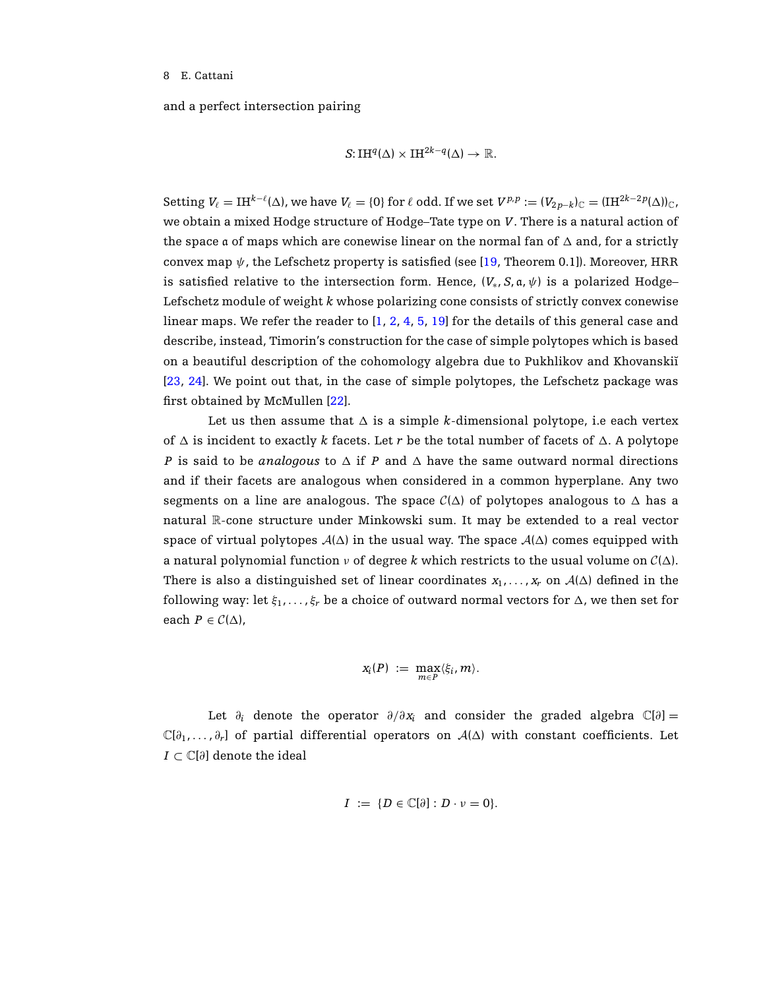and a perfect intersection pairing

$$
S: \mathrm{IH}^q(\Delta) \times \mathrm{IH}^{2k-q}(\Delta) \to \mathbb{R}.
$$

 $\text{Setting } V_\ell = \text{IH}^{k-\ell}(\Delta) \text{, we have } V_\ell = \{0\} \text{ for } \ell \text{ odd. If we set } V^{p,p} := (V_{2p-k})_{{\mathbb C}} = (\text{IH}^{2k-2p}(\Delta))_{{\mathbb C}} \text{,}$ we obtain a mixed Hodge structure of Hodge–Tate type on *V*. There is a natural action of the space a of maps which are conewise linear on the normal fan of  $\Delta$  and, for a strictly convex map  $\psi$ , the Lefschetz property is satisfied (see [\[19](#page-18-4), Theorem 0.1]). Moreover, HRR is satisfied relative to the intersection form. Hence,  $(V_*, S, a, \psi)$  is a polarized Hodge– Lefschetz module of weight *k* whose polarizing cone consists of strictly convex conewise linear maps. We refer the reader to [\[1](#page-17-0), [2](#page-17-1), [4,](#page-17-2) [5,](#page-18-11) [19](#page-18-4)] for the details of this general case and describe, instead, Timorin's construction for the case of simple polytopes which is based on a beautiful description of the cohomology algebra due to Pukhlikov and Khovanskii [\[23,](#page-18-12) [24\]](#page-19-8). We point out that, in the case of simple polytopes, the Lefschetz package was first obtained by McMullen [\[22](#page-18-13)].

Let us then assume that  $\Delta$  is a simple *k*-dimensional polytope, i.e each vertex of  $\Delta$  is incident to exactly *k* facets. Let *r* be the total number of facets of  $\Delta$ . A polytope *P* is said to be *analogous* to  $\Delta$  if *P* and  $\Delta$  have the same outward normal directions and if their facets are analogous when considered in a common hyperplane. Any two segments on a line are analogous. The space  $C(\Delta)$  of polytopes analogous to  $\Delta$  has a natural R-cone structure under Minkowski sum. It may be extended to a real vector space of virtual polytopes  $A(\Delta)$  in the usual way. The space  $A(\Delta)$  comes equipped with a natural polynomial function  $\nu$  of degree k which restricts to the usual volume on  $C(\Delta)$ . There is also a distinguished set of linear coordinates  $x_1, \ldots, x_r$  on  $A(\Delta)$  defined in the following way: let  $\xi_1, \ldots, \xi_r$  be a choice of outward normal vectors for  $\Delta$ , we then set for each  $P \in \mathcal{C}(\Delta)$ ,

$$
x_i(P) := \max_{m \in P} \langle \xi_i, m \rangle.
$$

Let  $\partial_i$  denote the operator  $\partial/\partial x_i$  and consider the graded algebra  $\mathbb{C}[\partial] =$  $\mathbb{C}[\partial_1,\ldots,\partial_r]$  of partial differential operators on  $\mathcal{A}(\Delta)$  with constant coefficients. Let *I* ⊂  $\mathbb{C}[\partial]$  denote the ideal

$$
I := \{ D \in \mathbb{C}[\partial] : D \cdot \nu = 0 \}.
$$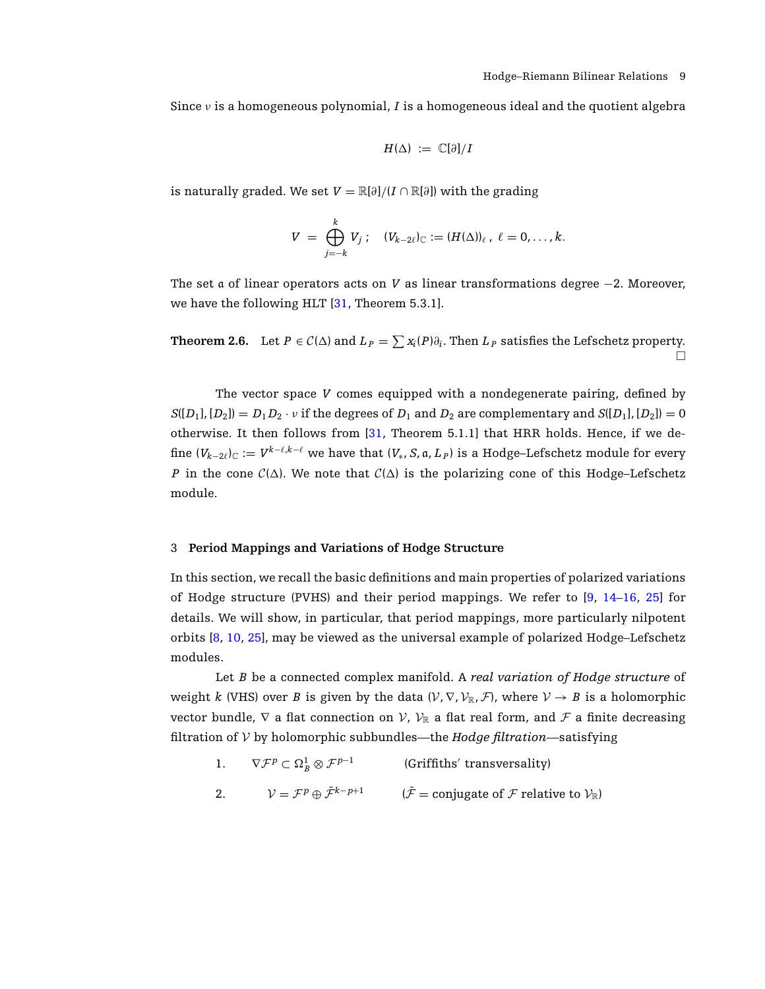Since  $\nu$  is a homogeneous polynomial, *I* is a homogeneous ideal and the quotient algebra

$$
H(\Delta) := \mathbb{C}[\partial]/I
$$

is naturally graded. We set  $V = \mathbb{R}[\partial]/(I \cap \mathbb{R}[\partial])$  with the grading

$$
V = \bigoplus_{j=-k}^k V_j; \quad (V_{k-2\ell})_{\mathbb{C}} := (H(\Delta))_{\ell}, \ \ell = 0, \ldots, k.
$$

The set a of linear operators acts on *V* as linear transformations degree −2. Moreover, we have the following HLT [\[31](#page-19-4), Theorem 5.3.1].

**Theorem 2.6.** Let  $P \in C(\Delta)$  and  $L_P = \sum_{i=1}^{\infty} x_i(P)\partial_i$ . Then  $L_P$  satisfies the Lefschetz property. П

The vector space *V* comes equipped with a nondegenerate pairing, defined by  $S([D_1], [D_2]) = D_1 D_2 \cdot v$  if the degrees of  $D_1$  and  $D_2$  are complementary and  $S([D_1], [D_2]) = 0$ otherwise. It then follows from [\[31](#page-19-4), Theorem 5.1.1] that HRR holds. Hence, if we define  $(V_{k-2\ell})_C := V^{k-\ell,k-\ell}$  we have that  $(V_*, S, \mathfrak{a}, L_P)$  is a Hodge–Lefschetz module for every *P* in the cone  $C(\Delta)$ . We note that  $C(\Delta)$  is the polarizing cone of this Hodge–Lefschetz module.

## 3 **Period Mappings and Variations of Hodge Structure**

In this section, we recall the basic definitions and main properties of polarized variations of Hodge structure (PVHS) and their period mappings. We refer to [\[9](#page-18-14), [14](#page-18-15)[–16,](#page-18-16) [25](#page-19-0)] for details. We will show, in particular, that period mappings, more particularly nilpotent orbits [\[8,](#page-18-1) [10,](#page-18-8) [25](#page-19-0)], may be viewed as the universal example of polarized Hodge–Lefschetz modules.

Let *B* be a connected complex manifold. A *real variation of Hodge structure* of weight *k* (VHS) over *B* is given by the data  $(V, \nabla, V_{\mathbb{R}}, \mathcal{F})$ , where  $V \to B$  is a holomorphic vector bundle,  $\nabla$  a flat connection on  $V$ ,  $V_{\mathbb{R}}$  a flat real form, and  $\mathcal F$  a finite decreasing filtration of V by holomorphic subbundles—the *Hodge filtration*—satisfying

|     | $\nabla \mathcal{F}^p \subset \Omega^1_{\scriptscriptstyle{R}}\otimes \mathcal{F}^{p-1}$ | (Griffiths' transversality)                                                                      |
|-----|------------------------------------------------------------------------------------------|--------------------------------------------------------------------------------------------------|
| -2. | $\mathcal{V}=\mathcal{F}^p\oplus\bar{\mathcal{F}}^{k-p+1}$                               | $(\mathcal{F} = \text{conjugate of } \mathcal{F} \text{ relative to } \mathcal{V}_{\mathbb{R}})$ |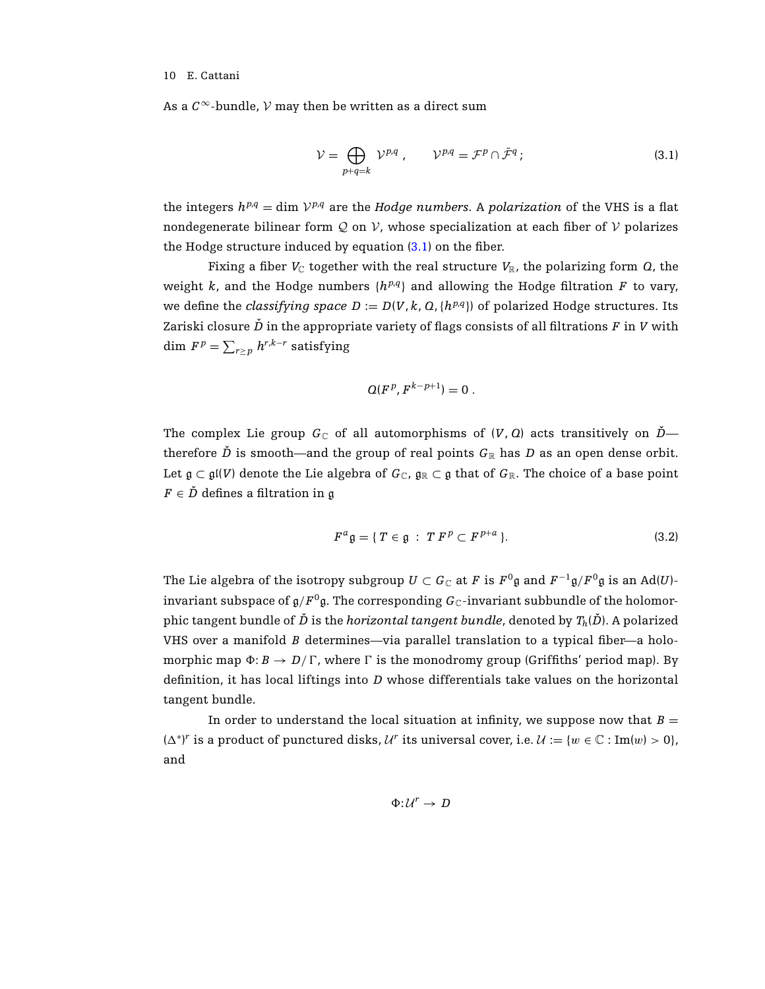<span id="page-9-0"></span>As a  $C^{\infty}$ -bundle,  $V$  may then be written as a direct sum

$$
\mathcal{V} = \bigoplus_{p+q=k} \mathcal{V}^{p,q} \,, \qquad \mathcal{V}^{p,q} = \mathcal{F}^p \cap \bar{\mathcal{F}}^q \, ; \tag{3.1}
$$

the integers  $h^{p,q} = \dim \mathcal{V}^{p,q}$  are the *Hodge numbers*. A *polarization* of the VHS is a flat nondegenerate bilinear form Q on V, whose specialization at each fiber of V polarizes the Hodge structure induced by equation [\(3.1\)](#page-9-0) on the fiber.

Fixing a fiber  $V_{\mathbb{C}}$  together with the real structure  $V_{\mathbb{R}}$ , the polarizing form  $Q$ , the weight *k*, and the Hodge numbers  $\{h^{p,q}\}\$  and allowing the Hodge filtration *F* to vary, we define the *classifying space*  $D := D(V, k, Q, \{h^{p,q}\})$  of polarized Hodge structures. Its Zariski closure  $\check{D}$  in the appropriate variety of flags consists of all filtrations  $F$  in  $V$  with  $\dim\,F^{\,p}=\sum_{r\geq\,p}\,h^{r,k-r}\text{ satisfying}$ 

$$
Q(Fp, Fk-p+1) = 0.
$$

The complex Lie group  $G_{\mathbb{C}}$  of all automorphisms of  $(V, Q)$  acts transitively on  $\check{D}$  therefore  $\check{D}$  is smooth—and the group of real points  $G_{\mathbb{R}}$  has  $D$  as an open dense orbit. Let  $\mathfrak{g} \subset \mathfrak{gl}(V)$  denote the Lie algebra of  $G_{\mathbb{C}}$ ,  $\mathfrak{g}_{\mathbb{R}} \subset \mathfrak{g}$  that of  $G_{\mathbb{R}}$ . The choice of a base point  $F \in \check{D}$  defines a filtration in g

$$
F^a \mathfrak{g} = \{ T \in \mathfrak{g} \; : \; T F^p \subset F^{p+a} \}. \tag{3.2}
$$

The Lie algebra of the isotropy subgroup  $U \subset G_{\mathbb{C}}$  at *F* is  $F^0 \mathfrak{g}$  and  $F^{-1} \mathfrak{g}/F^0 \mathfrak{g}$  is an Ad(*U*)invariant subspace of  $g/F^0g$ . The corresponding  $G_{\mathbb{C}}$ -invariant subbundle of the holomorphic tangent bundle of  $\check{D}$  is the *horizontal tangent bundle*, denoted by  $T_h(\check{D})$ . A polarized VHS over a manifold *B* determines—via parallel translation to a typical fiber—a holomorphic map  $\Phi: B \to D/\Gamma$ , where  $\Gamma$  is the monodromy group (Griffiths' period map). By definition, it has local liftings into *D* whose differentials take values on the horizontal tangent bundle.

In order to understand the local situation at infinity, we suppose now that  $B =$  $(\Delta^*)^r$  is a product of punctured disks,  $\mathcal{U}^r$  its universal cover, i.e.  $\mathcal{U} := \{w \in \mathbb{C} : \text{Im}(w) > 0\},\$ and

$$
\Phi: \mathcal{U}^r \to D
$$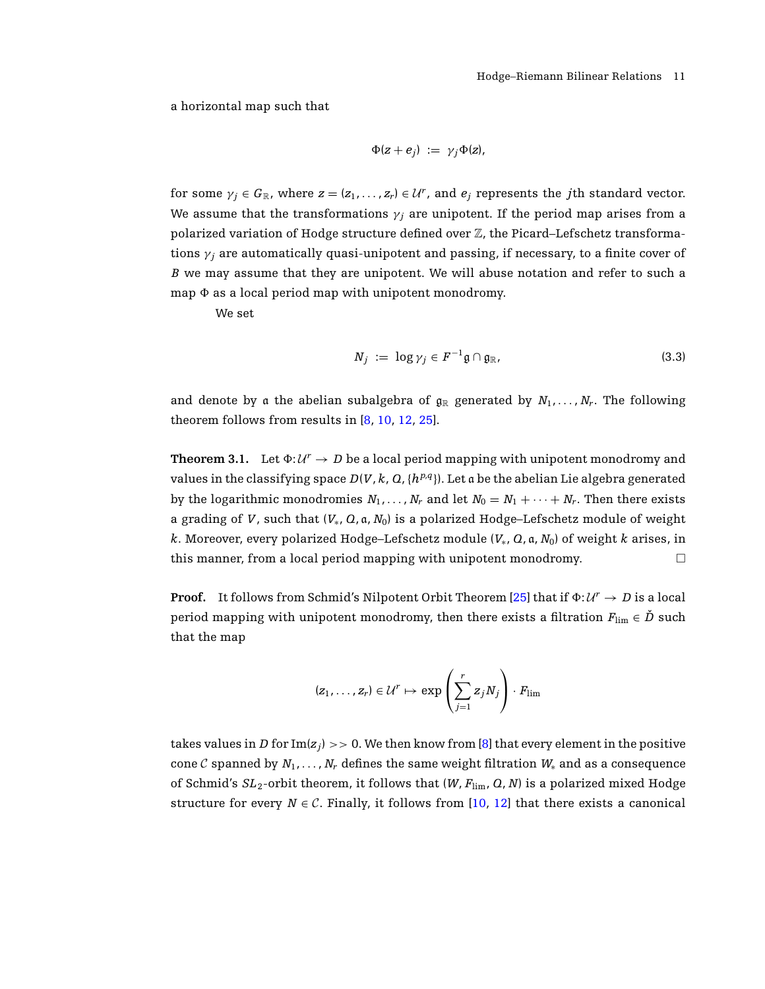a horizontal map such that

$$
\Phi(z+e_j) := \gamma_j \Phi(z),
$$

for some  $\gamma_j \in G_{\mathbb{R}}$ , where  $z = (z_1, \ldots, z_r) \in \mathcal{U}^r$ , and  $e_j$  represents the *j*th standard vector. We assume that the transformations  $\gamma_i$  are unipotent. If the period map arises from a polarized variation of Hodge structure defined over  $\mathbb Z$ , the Picard–Lefschetz transformations  $\gamma_i$  are automatically quasi-unipotent and passing, if necessary, to a finite cover of *B* we may assume that they are unipotent. We will abuse notation and refer to such a map  $\Phi$  as a local period map with unipotent monodromy.

We set

$$
N_j := \log \gamma_j \in F^{-1} \mathfrak{g} \cap \mathfrak{g}_\mathbb{R},\tag{3.3}
$$

<span id="page-10-0"></span>and denote by a the abelian subalgebra of  $g_R$  generated by  $N_1, \ldots, N_r$ . The following theorem follows from results in [\[8,](#page-18-1) [10](#page-18-8), [12,](#page-18-17) [25\]](#page-19-0).

**Theorem 3.1.** Let  $\Phi: \mathcal{U}^r \to D$  be a local period mapping with unipotent monodromy and values in the classifying space  $D(V, k, Q, \{h^{p,q}\})$ . Let a be the abelian Lie algebra generated by the logarithmic monodromies  $N_1, \ldots, N_r$  and let  $N_0 = N_1 + \cdots + N_r$ . Then there exists a grading of *V*, such that  $(V_*, Q, a, N_0)$  is a polarized Hodge–Lefschetz module of weight *k*. Moreover, every polarized Hodge–Lefschetz module (*V*∗, *Q*, a, *N*0) of weight *k* arises, in this manner, from a local period mapping with unipotent monodromy.  $\Box$ 

**Proof.** It follows from Schmid's Nilpotent Orbit Theorem [\[25\]](#page-19-0) that if  $\Phi: U^r \to D$  is a local period mapping with unipotent monodromy, then there exists a filtration  $F_{\text{lim}} \in \check{D}$  such that the map

$$
(z_1,\ldots,z_r) \in \mathcal{U}^r \mapsto \exp\left(\sum_{j=1}^r z_j N_j\right) \cdot F_{\lim}
$$

takes values in *D* for  $Im(z_j) >> 0$ . We then know from [\[8](#page-18-1)] that every element in the positive cone C spanned by  $N_1, \ldots, N_r$  defines the same weight filtration  $W_*$  and as a consequence of Schmid's *SL*2-orbit theorem, it follows that (*W*, *F*lim, *Q*, *N*) is a polarized mixed Hodge structure for every  $N \in \mathcal{C}$ . Finally, it follows from [\[10](#page-18-8), [12](#page-18-17)] that there exists a canonical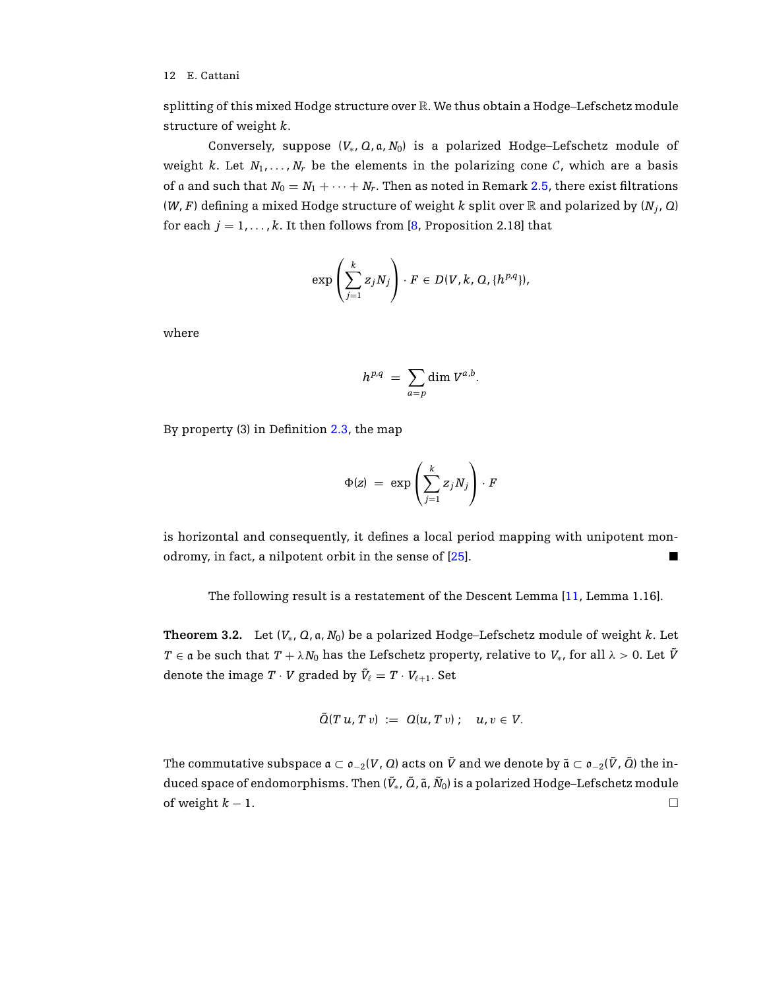splitting of this mixed Hodge structure over R. We thus obtain a Hodge–Lefschetz module structure of weight *k*.

Conversely, suppose  $(V_*, Q, a, N_0)$  is a polarized Hodge–Lefschetz module of weight *k*. Let  $N_1, \ldots, N_r$  be the elements in the polarizing cone C, which are a basis of a and such that  $N_0 = N_1 + \cdots + N_r$ . Then as noted in Remark [2.5,](#page-6-0) there exist filtrations (*W*, *F*) defining a mixed Hodge structure of weight *k* split over  $\mathbb R$  and polarized by ( $N_j$ , *Q*) for each  $j = 1, ..., k$ . It then follows from [\[8,](#page-18-1) Proposition 2.18] that

$$
\exp\left(\sum_{j=1}^k z_j N_j\right)\cdot F\in D(V,k,\,Q,\{h^{p,q}\}),
$$

where

$$
h^{p,q} = \sum_{a=p} \dim V^{a,b}.
$$

By property (3) in Definition [2.3,](#page-5-1) the map

$$
\Phi(z) = \exp\left(\sum_{j=1}^k z_j N_j\right) \cdot F
$$

is horizontal and consequently, it defines a local period mapping with unipotent mon-odromy, in fact, a nilpotent orbit in the sense of [\[25](#page-19-0)].

The following result is a restatement of the Descent Lemma [\[11,](#page-18-6) Lemma 1.16].

<span id="page-11-0"></span>**Theorem 3.2.** Let (*V*∗, *Q*, a, *N*0) be a polarized Hodge–Lefschetz module of weight *k*. Let *T* ∈ a be such that  $T + \lambda N_0$  has the Lefschetz property, relative to  $V_*$ , for all  $\lambda > 0$ . Let  $\tilde{V}$ denote the image  $T \cdot V$  graded by  $\tilde{V}_{\ell} = T \cdot V_{\ell+1}$ . Set

$$
\tilde{Q}(T u, T v) := Q(u, T v); \quad u, v \in V.
$$

The commutative subspace  $a \subset o_{-2}(V, Q)$  acts on  $\tilde{V}$  and we denote by  $\tilde{a} \subset o_{-2}(\tilde{V}, \tilde{Q})$  the induced space of endomorphisms. Then  $(\tilde{V}_*, \tilde{Q}, \tilde{a}, \tilde{N}_0)$  is a polarized Hodge–Lefschetz module of weight  $k - 1$ . □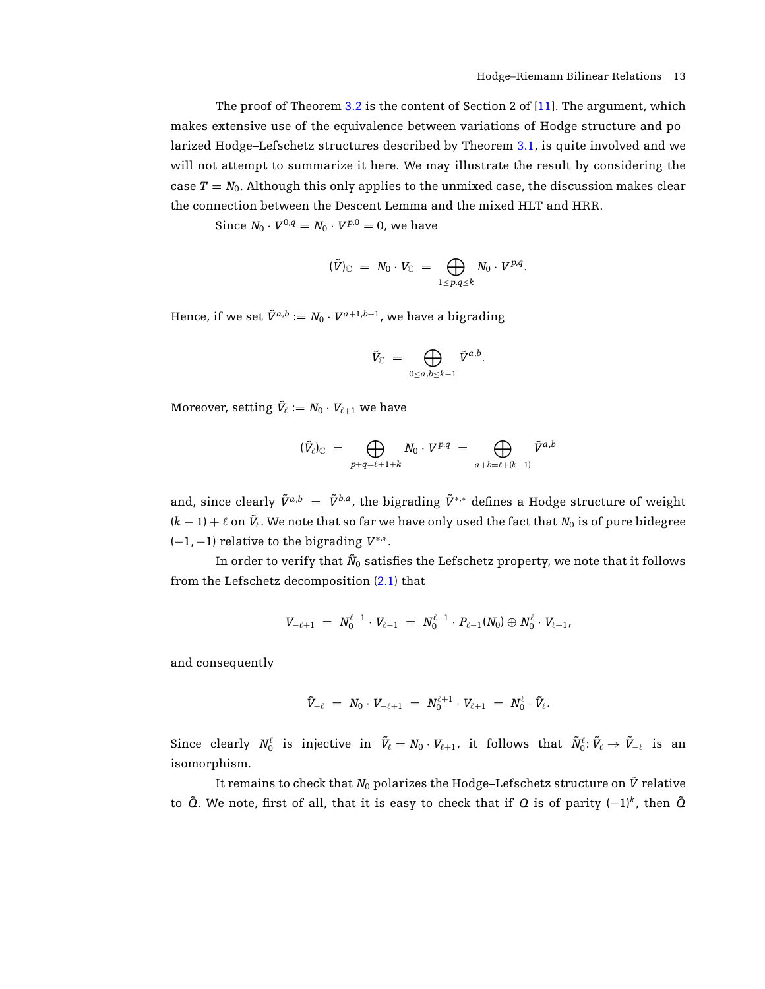The proof of Theorem [3.2](#page-11-0) is the content of Section 2 of [\[11\]](#page-18-6). The argument, which makes extensive use of the equivalence between variations of Hodge structure and polarized Hodge–Lefschetz structures described by Theorem [3.1,](#page-10-0) is quite involved and we will not attempt to summarize it here. We may illustrate the result by considering the case  $T = N_0$ . Although this only applies to the unmixed case, the discussion makes clear the connection between the Descent Lemma and the mixed HLT and HRR.

Since  $N_0 \cdot V^{0,q} = N_0 \cdot V^{p,0} = 0$ , we have

$$
(\tilde{V})_{\mathbb{C}} = N_0 \cdot V_{\mathbb{C}} = \bigoplus_{1 \leq p,q \leq k} N_0 \cdot V^{p,q}.
$$

Hence, if we set  $\tilde{V}^{a,b} := N_0 \cdot V^{a+1,b+1}$ , we have a bigrading

$$
\tilde{V}_{\mathbb C}\;=\;\bigoplus_{0\le a,b\le k-1}\tilde{V}^{a,b}.
$$

Moreover, setting  $\tilde{V}_\ell := N_0 \cdot V_{\ell+1}$  we have

$$
(\tilde{V}_{\ell})_{\mathbb{C}} = \bigoplus_{p+q = \ell+1+k} N_0 \cdot V^{p,q} = \bigoplus_{a+b = \ell+(k-1)} \tilde{V}^{a,b}
$$

and, since clearly  $\overline{\tilde{V}^{a,b}} = \tilde{V}^{b,a}$ , the bigrading  $\tilde{V}^{*,*}$  defines a Hodge structure of weight  $(k-1)+\ell$  on  $\tilde{V}_\ell.$  We note that so far we have only used the fact that  $N_0$  is of pure bidegree (−1, −1) relative to the bigrading *V*<sup>∗</sup>,<sup>∗</sup>.

In order to verify that  $\tilde{N}_0$  satisfies the Lefschetz property, we note that it follows from the Lefschetz decomposition [\(2.1\)](#page-4-0) that

$$
V_{-\ell+1} = N_0^{\ell-1} \cdot V_{\ell-1} = N_0^{\ell-1} \cdot P_{\ell-1}(N_0) \oplus N_0^{\ell} \cdot V_{\ell+1},
$$

and consequently

$$
\tilde{V}_{-\ell} \,\,=\,\, N_0 \cdot V_{-\ell+1} \,\,=\,\, N_0^{\ell+1} \cdot V_{\ell+1} \,\,=\,\, N_0^\ell \cdot \tilde{V}_\ell.
$$

 $\text{Since clearly } N_0^{\ell} \text{ is injective in } \tilde{V}_{\ell} = N_0 \cdot V_{\ell+1}, \text{ it follows that } \tilde{N}_0^{\ell} \colon \tilde{V}_{\ell} \to \tilde{V}_{-\ell} \text{ is an } \tilde{V}_{\ell} \text{ is a finite.}$ isomorphism.

It remains to check that  $N_0$  polarizes the Hodge–Lefschetz structure on  $\tilde{V}$  relative to  $\tilde{Q}$ . We note, first of all, that it is easy to check that if  $Q$  is of parity  $(-1)^k$ , then  $\tilde{Q}$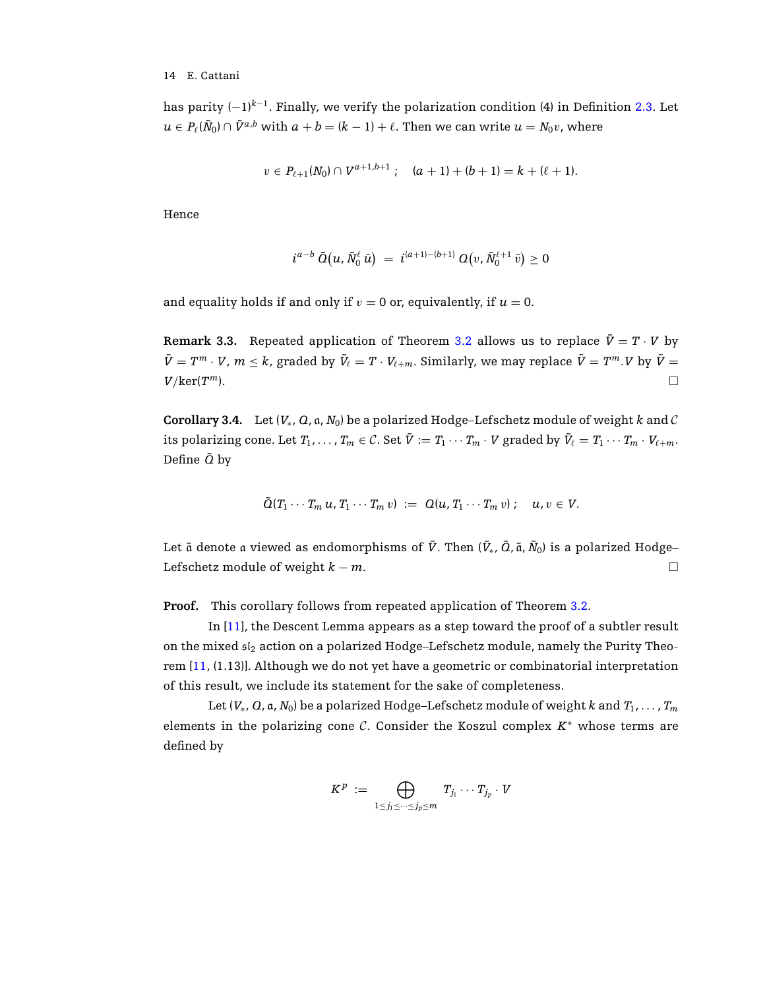has parity  $(-1)^{k-1}$ . Finally, we verify the polarization condition (4) in Definition [2.3.](#page-5-1) Let  $u \in P(\tilde{N}_0) \cap \tilde{V}^{a,b}$  with  $a + b = (k - 1) + \ell$ . Then we can write  $u = N_0v$ , where

$$
v\in P_{\ell+1}(N_0)\cap V^{a+1,b+1} ;\quad (a+1)+(b+1)=k+(\ell+1).
$$

Hence

$$
i^{a-b} \ \tilde{O}\big(u,\tilde{N}^\ell_0 \ \bar{u}\big) \ = \ i^{(a+1)-(b+1)} \ Q\big(v,\tilde{N}^{\ell+1}_0 \ \bar{v}\big) \geq 0
$$

and equality holds if and only if  $v = 0$  or, equivalently, if  $u = 0$ .

**Remark 3.3.** Repeated application of Theorem [3.2](#page-11-0) allows us to replace  $\tilde{V} = T \cdot V$  by  $\tilde{V}=T^m\cdot V$ ,  $m\leq k$ , graded by  $\tilde{V}_\ell=T\cdot V_{\ell+m}.$  Similarly, we may replace  $\tilde{V}=T^m.$   $V$  by  $\tilde{V}=0$  $V/\text{ker}(T^m)$ .

<span id="page-13-0"></span>**Corollary 3.4.** Let  $(V_*, Q, a, N_0)$  be a polarized Hodge–Lefschetz module of weight k and C its polarizing cone. Let  $T_1, \ldots, T_m \in \mathcal{C}$ . Set  $\tilde{V} := T_1 \cdots T_m \cdot V$  graded by  $\tilde{V}_\ell = T_1 \cdots T_m \cdot V_{\ell+m}$ . Define *Q*˜ by

$$
\tilde{Q}(T_1\cdots T_m u,T_1\cdots T_m v) := Q(u,T_1\cdots T_m v); \quad u,v \in V.
$$

Let ã denote a viewed as endomorphisms of  $\tilde{V}$ . Then ( $\tilde{V}_*$ ,  $\tilde{Q}$ , ã,  $\tilde{N}_0$ ) is a polarized Hodge– Lefschetz module of weight  $k - m$ .

**Proof.** This corollary follows from repeated application of Theorem [3.2.](#page-11-0)

In [\[11\]](#page-18-6), the Descent Lemma appears as a step toward the proof of a subtler result on the mixed  $s_{2}$  action on a polarized Hodge–Lefschetz module, namely the Purity Theorem [\[11](#page-18-6), (1.13)]. Although we do not yet have a geometric or combinatorial interpretation of this result, we include its statement for the sake of completeness.

Let  $(V_*, Q, \mathfrak{a}, N_0)$  be a polarized Hodge–Lefschetz module of weight *k* and  $T_1, \ldots, T_m$ elements in the polarizing cone  $\mathcal{C}$ . Consider the Koszul complex  $K^*$  whose terms are defined by

$$
K^p := \bigoplus_{1 \leq j_1 \leq \cdots \leq j_p \leq m} T_{j_1} \cdots T_{j_p} \cdot V
$$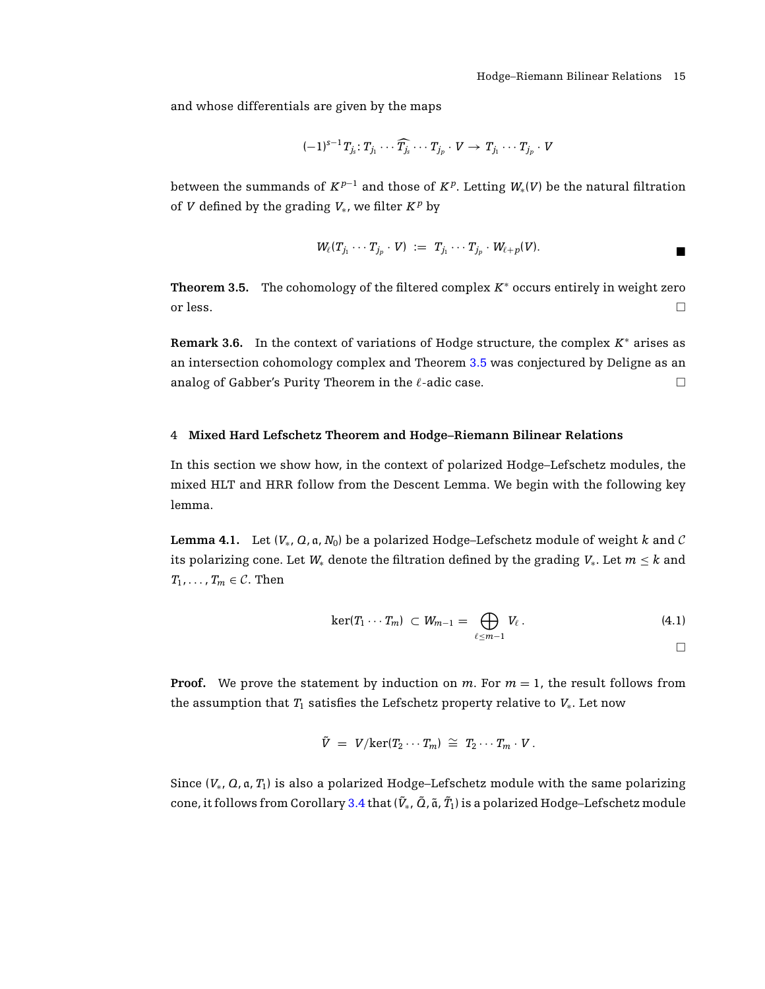and whose differentials are given by the maps

$$
(-1)^{s-1}T_{j_s}:T_{j_1}\cdots\widehat{T_{j_s}}\cdots T_{j_p}\cdot V\to T_{j_1}\cdots T_{j_p}\cdot V
$$

between the summands of  $K^{p-1}$  and those of  $K^p$ . Letting  $W_*(V)$  be the natural filtration of *V* defined by the grading  $V_*$ , we filter  $K^p$  by

$$
W_{\ell}(T_{j_1}\cdots T_{j_p}\cdot V) \;:=\; T_{j_1}\cdots T_{j_p}\cdot W_{\ell+p}(V).
$$

<span id="page-14-0"></span>**Theorem 3.5.** The cohomology of the filtered complex  $K^*$  occurs entirely in weight zero or less.

**Remark 3.6.** In the context of variations of Hodge structure, the complex *K*<sup>∗</sup> arises as an intersection cohomology complex and Theorem [3.5](#page-14-0) was conjectured by Deligne as an analog of Gabber's Purity Theorem in the  $\ell$ -adic case.

# 4 **Mixed Hard Lefschetz Theorem and Hodge–Riemann Bilinear Relations**

In this section we show how, in the context of polarized Hodge–Lefschetz modules, the mixed HLT and HRR follow from the Descent Lemma. We begin with the following key lemma.

**Lemma 4.1.** Let  $(V_*, Q, a, N_0)$  be a polarized Hodge–Lefschetz module of weight k and C its polarizing cone. Let  $W_*$  denote the filtration defined by the grading  $V_*$ . Let  $m \leq k$  and  $T_1, \ldots, T_m \in \mathcal{C}$ . Then

<span id="page-14-1"></span>
$$
\ker(T_1\cdots T_m)\,\subset W_{m-1}=\bigoplus_{\ell\leq m-1}V_{\ell}.\tag{4.1}
$$

**Proof.** We prove the statement by induction on  $m$ . For  $m = 1$ , the result follows from the assumption that  $T_1$  satisfies the Lefschetz property relative to  $V_*$ . Let now

$$
\tilde{V} = V/\text{ker}(T_2 \cdots T_m) \cong T_2 \cdots T_m \cdot V.
$$

Since (*V*∗, *Q*, a, *T*1) is also a polarized Hodge–Lefschetz module with the same polarizing cone, it follows from Corollary [3.4](#page-13-0) that ( $\tilde{V}_*$ ,  $\tilde{O}$ ,  $\tilde{a}$ ,  $\tilde{T}_1$ ) is a polarized Hodge–Lefschetz module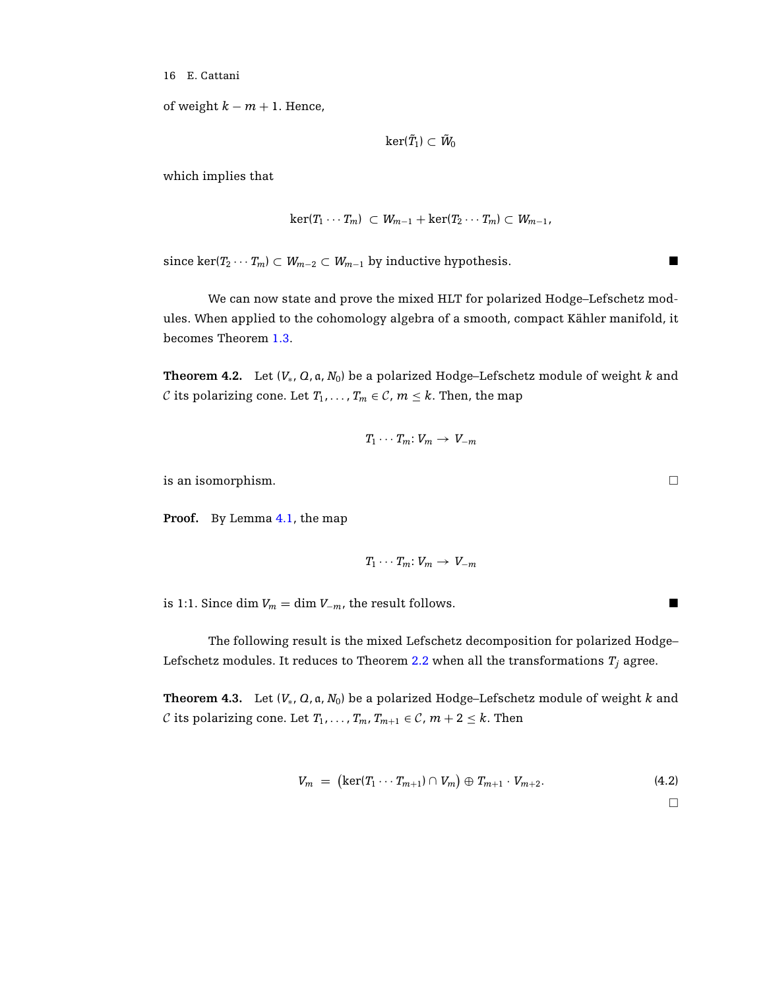of weight  $k - m + 1$ . Hence,

$$
\ker(\tilde{T}_1)\subset\tilde{W}_0
$$

which implies that

$$
\ker(T_1\cdots T_m)\subset W_{m-1}+\ker(T_2\cdots T_m)\subset W_{m-1},
$$

since ker( $T_2 \cdots T_m$ )  $\subset W_{m-2} \subset W_{m-1}$  by inductive hypothesis.

We can now state and prove the mixed HLT for polarized Hodge–Lefschetz modules. When applied to the cohomology algebra of a smooth, compact Kähler manifold, it becomes Theorem [1.3.](#page-2-0)

**Theorem 4.2.** Let (*V*∗, *Q*, a, *N*0) be a polarized Hodge–Lefschetz module of weight *k* and C its polarizing cone. Let  $T_1, \ldots, T_m \in \mathcal{C}$ ,  $m \leq k$ . Then, the map

$$
T_1\cdots T_m\colon V_m\to V_{-m}
$$

is an isomorphism.  $\Box$ 

**Proof.** By Lemma [4.1,](#page-14-1) the map

 $T_1 \cdots T_m: V_m \rightarrow V_{-m}$ 

is 1:1. Since dim  $V_m = \dim V_{-m}$ , the result follows.

The following result is the mixed Lefschetz decomposition for polarized Hodge– Lefschetz modules. It reduces to Theorem  $2.2$  when all the transformations  $T_j$  agree.

**Theorem 4.3.** Let  $(V_*, Q, a, N_0)$  be a polarized Hodge–Lefschetz module of weight *k* and C its polarizing cone. Let  $T_1, \ldots, T_m, T_{m+1} \in \mathcal{C}, m+2 \leq k$ . Then

$$
V_m = (\ker(T_1 \cdots T_{m+1}) \cap V_m) \oplus T_{m+1} \cdot V_{m+2}.
$$
 (4.2)

 $\hfill \square$ 

 $\blacksquare$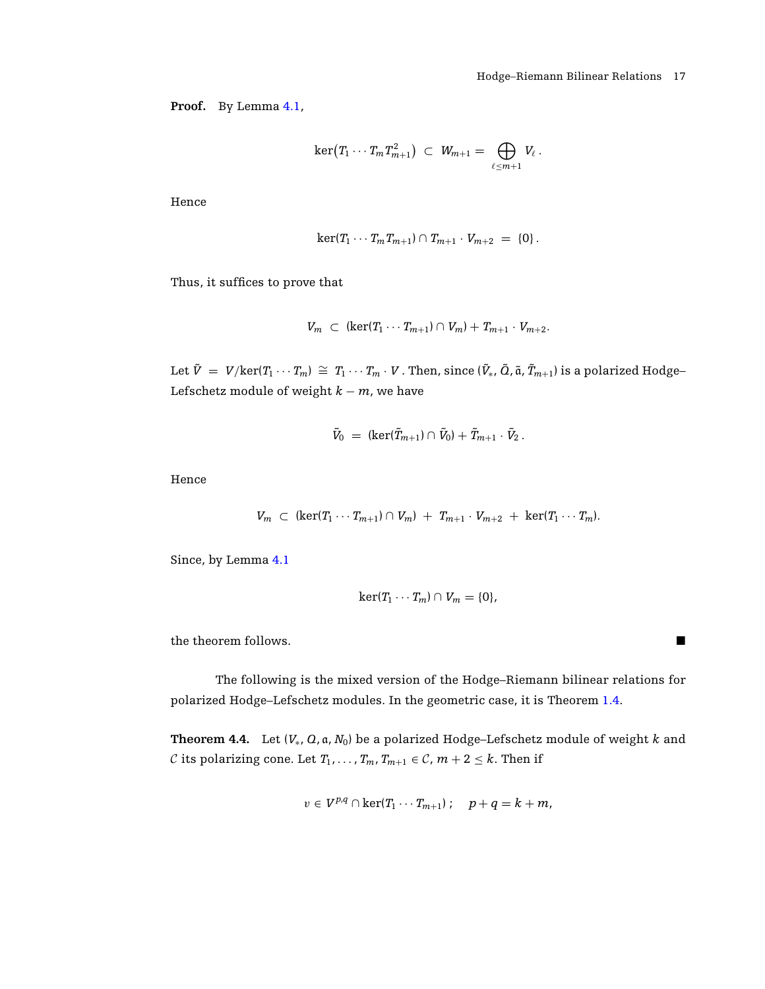$\blacksquare$ 

**Proof.** By Lemma [4.1,](#page-14-1)

$$
\ker\bigl(T_1\cdots T_mT_{m+1}^2\bigr)\,\,\subset\,\, W_{m+1}=\bigoplus_{\ell\leq m+1}V_\ell\,.
$$

Hence

$$
\ker(T_1\cdots T_m T_{m+1})\cap T_{m+1}\cdot V_{m+2} = \{0\}.
$$

Thus, it suffices to prove that

$$
V_m \subset (\ker(T_1 \cdots T_{m+1}) \cap V_m) + T_{m+1} \cdot V_{m+2}.
$$

Let  $\tilde{V}~=~V/{\rm ker}(T_1\cdots T_m)~\cong~T_1\cdots T_m\cdot V$  . Then, since  $(\tilde{V}_*,\tilde{Q},\tilde{\mathfrak{a}},\tilde{T}_{m+1})$  is a polarized Hodge– Lefschetz module of weight  $k - m$ , we have

$$
\tilde{V}_0 = (\ker(\tilde{T}_{m+1}) \cap \tilde{V}_0) + \tilde{T}_{m+1} \cdot \tilde{V}_2.
$$

Hence

$$
V_m \subset (\ker(T_1 \cdots T_{m+1}) \cap V_m) + T_{m+1} \cdot V_{m+2} + \ker(T_1 \cdots T_m).
$$

Since, by Lemma [4.1](#page-14-1)

$$
\ker(T_1\cdots T_m)\cap V_m=\{0\},\
$$

the theorem follows.

The following is the mixed version of the Hodge–Riemann bilinear relations for polarized Hodge–Lefschetz modules. In the geometric case, it is Theorem [1.4.](#page-2-1)

**Theorem 4.4.** Let (*V*∗, *Q*, a, *N*0) be a polarized Hodge–Lefschetz module of weight *k* and C its polarizing cone. Let  $T_1, \ldots, T_m, T_{m+1} \in \mathcal{C}, m+2 \leq k$ . Then if

$$
v\in V^{p,q}\cap \ker(T_1\cdots T_{m+1})\,;\quad p+q=k+m,
$$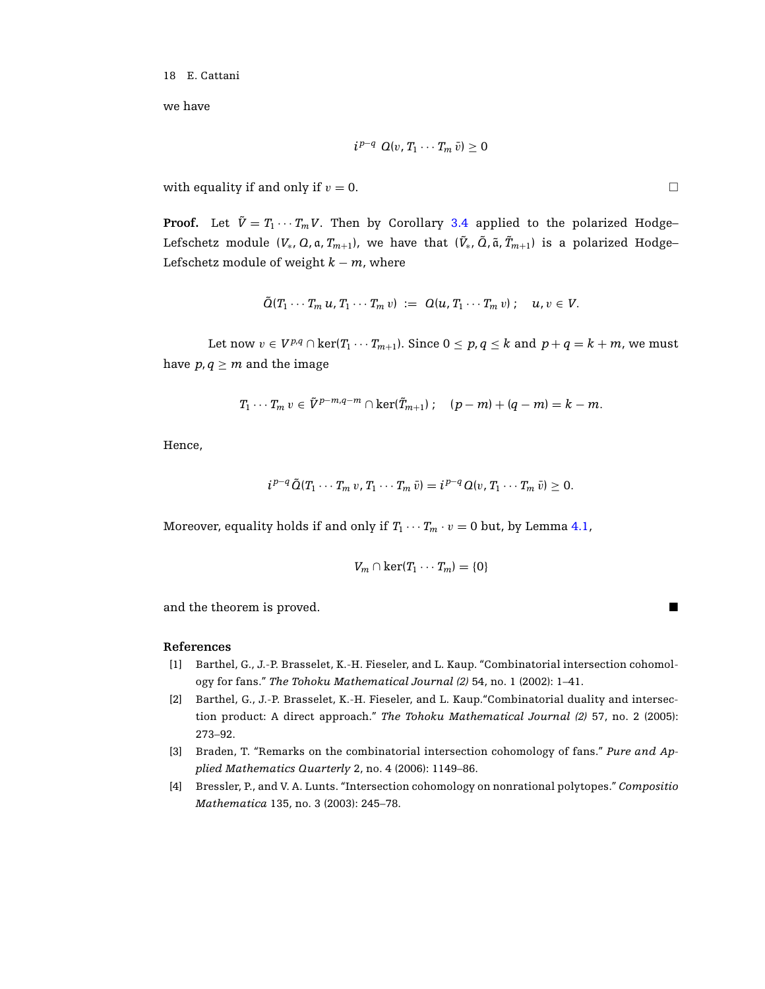we have

$$
i^{p-q} Q(v, T_1 \cdots T_m \bar{v}) \geq 0
$$

with equality if and only if  $v = 0$ .

**Proof.** Let  $\tilde{V} = T_1 \cdots T_m V$ . Then by Corollary [3.4](#page-13-0) applied to the polarized Hodge– Lefschetz module ( $V_*$ ,  $Q$ , a,  $T_{m+1}$ ), we have that ( $\tilde{V}_*$ ,  $\tilde{Q}$ ,  $\tilde{a}$ ,  $\tilde{T}_{m+1})$  is a polarized Hodge– Lefschetz module of weight  $k - m$ , where

$$
\tilde{Q}(T_1\cdots T_m u,T_1\cdots T_m v) := Q(u,T_1\cdots T_m v) ; u,v \in V.
$$

Let now *v* ∈  $V^{p,q} \cap \text{ker}(T_1 \cdots T_{m+1})$ . Since  $0 \leq p, q \leq k$  and  $p + q = k + m$ , we must have  $p, q \geq m$  and the image

$$
T_1\cdots T_m v\in \tilde{V}^{p-m,q-m}\cap\ker(\tilde{T}_{m+1});\quad (p-m)+(q-m)=k-m.
$$

Hence,

$$
i^{p-q}\tilde{Q}(T_1\cdots T_m v,T_1\cdots T_m\bar{v})=i^{p-q}Q(v,T_1\cdots T_m\bar{v})\geq 0.
$$

Moreover, equality holds if and only if  $T_1 \cdots T_m \cdot v = 0$  but, by Lemma [4.1,](#page-14-1)

$$
V_m \cap \ker(T_1 \cdots T_m) = \{0\}
$$

and the theorem is proved.

## <span id="page-17-0"></span>**References**

- [1] Barthel, G., J.-P. Brasselet, K.-H. Fieseler, and L. Kaup. "Combinatorial intersection cohomology for fans." *The Tohoku Mathematical Journal (2)* 54, no. 1 (2002): 1–41.
- <span id="page-17-1"></span>[2] Barthel, G., J.-P. Brasselet, K.-H. Fieseler, and L. Kaup."Combinatorial duality and intersection product: A direct approach." *The Tohoku Mathematical Journal (2)* 57, no. 2 (2005): 273–92.
- [3] Braden, T. "Remarks on the combinatorial intersection cohomology of fans." *Pure and Applied Mathematics Quarterly* 2, no. 4 (2006): 1149–86.
- <span id="page-17-2"></span>[4] Bressler, P., and V. A. Lunts. "Intersection cohomology on nonrational polytopes." *Compositio Mathematica* 135, no. 3 (2003): 245–78.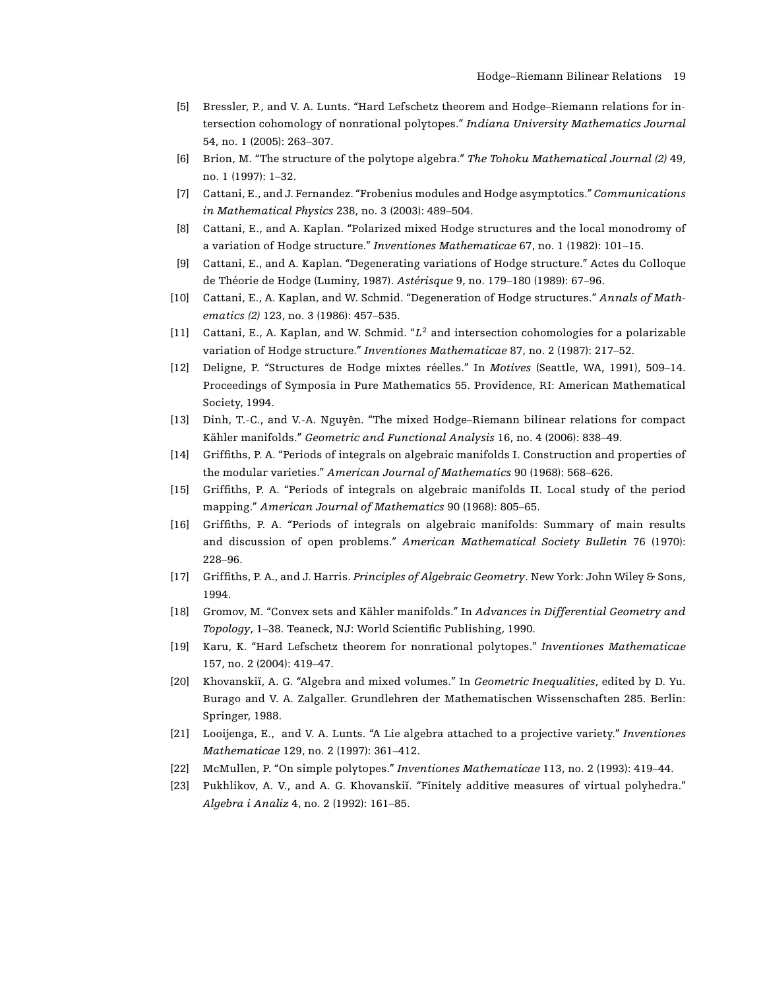- <span id="page-18-11"></span>[5] Bressler, P., and V. A. Lunts. "Hard Lefschetz theorem and Hodge–Riemann relations for intersection cohomology of nonrational polytopes." *Indiana University Mathematics Journal* 54, no. 1 (2005): 263–307.
- <span id="page-18-5"></span>[6] Brion, M. "The structure of the polytope algebra." *The Tohoku Mathematical Journal (2)* 49, no. 1 (1997): 1–32.
- <span id="page-18-2"></span>[7] Cattani, E., and J. Fernandez. "Frobenius modules and Hodge asymptotics." *Communications in Mathematical Physics* 238, no. 3 (2003): 489–504.
- <span id="page-18-1"></span>[8] Cattani, E., and A. Kaplan. "Polarized mixed Hodge structures and the local monodromy of a variation of Hodge structure." *Inventiones Mathematicae* 67, no. 1 (1982): 101–15.
- <span id="page-18-14"></span>[9] Cattani, E., and A. Kaplan. "Degenerating variations of Hodge structure." Actes du Colloque de Théorie de Hodge (Luminy, 1987). Astérisque 9, no. 179-180 (1989): 67-96.
- <span id="page-18-8"></span>[10] Cattani, E., A. Kaplan, and W. Schmid. "Degeneration of Hodge structures." *Annals of Mathematics (2)* 123, no. 3 (1986): 457–535.
- <span id="page-18-6"></span>[11] Cattani, E., A. Kaplan, and W. Schmid. "*L*<sup>2</sup> and intersection cohomologies for a polarizable variation of Hodge structure." *Inventiones Mathematicae* 87, no. 2 (1987): 217–52.
- <span id="page-18-17"></span>[12] Deligne, P. "Structures de Hodge mixtes reelles." In ´ *Motives* (Seattle, WA, 1991), 509–14. Proceedings of Symposia in Pure Mathematics 55. Providence, RI: American Mathematical Society, 1994.
- <span id="page-18-10"></span>[13] Dinh, T.-C., and V.-A. Nguyên. "The mixed Hodge–Riemann bilinear relations for compact Kähler manifolds." *Geometric and Functional Analysis* 16, no. 4 (2006): 838-49.
- <span id="page-18-15"></span>[14] Griffiths, P. A. "Periods of integrals on algebraic manifolds I. Construction and properties of the modular varieties." *American Journal of Mathematics* 90 (1968): 568–626.
- [15] Griffiths, P. A. "Periods of integrals on algebraic manifolds II. Local study of the period mapping." *American Journal of Mathematics* 90 (1968): 805–65.
- <span id="page-18-16"></span>[16] Griffiths, P. A. "Periods of integrals on algebraic manifolds: Summary of main results and discussion of open problems." *American Mathematical Society Bulletin* 76 (1970): 228–96.
- <span id="page-18-0"></span>[17] Griffiths, P. A., and J. Harris. *Principles of Algebraic Geometry*. New York: John Wiley & Sons, 1994.
- <span id="page-18-9"></span>[18] Gromov, M. "Convex sets and Kähler manifolds." In Advances in Differential Geometry and *Topology*, 1–38. Teaneck, NJ: World Scientific Publishing, 1990.
- <span id="page-18-4"></span>[19] Karu, K. "Hard Lefschetz theorem for nonrational polytopes." *Inventiones Mathematicae* 157, no. 2 (2004): 419–47.
- <span id="page-18-3"></span>[20] Khovanskiı, A. G. "Algebra and mixed volumes." In ˘ *Geometric Inequalities*, edited by D. Yu. Burago and V. A. Zalgaller. Grundlehren der Mathematischen Wissenschaften 285. Berlin: Springer, 1988.
- <span id="page-18-7"></span>[21] Looijenga, E., and V. A. Lunts. "A Lie algebra attached to a projective variety." *Inventiones Mathematicae* 129, no. 2 (1997): 361–412.
- <span id="page-18-13"></span>[22] McMullen, P. "On simple polytopes." *Inventiones Mathematicae* 113, no. 2 (1993): 419–44.
- <span id="page-18-12"></span>[23] Pukhlikov, A. V., and A. G. Khovanskiı. "Finitely additive measures of virtual polyhedra." ˘ *Algebra i Analiz* 4, no. 2 (1992): 161–85.